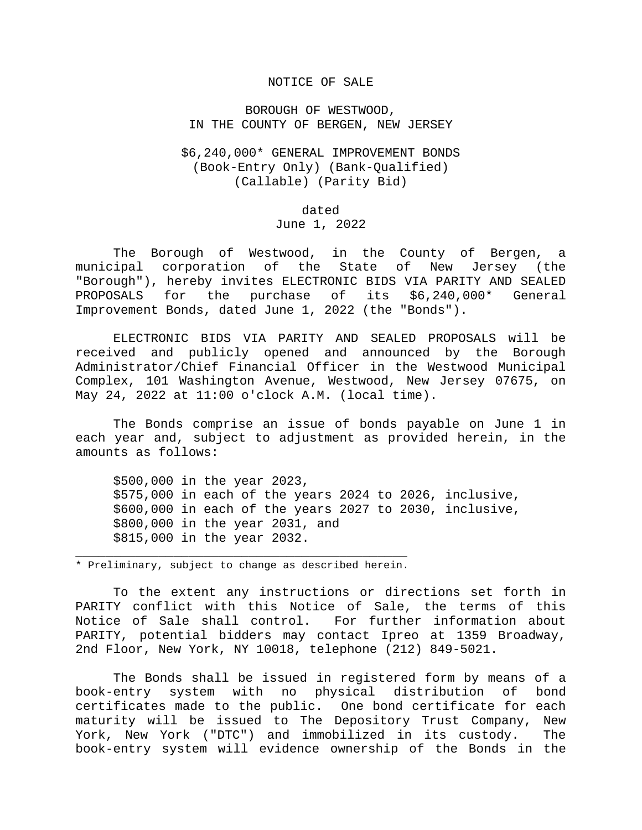## NOTICE OF SALE

BOROUGH OF WESTWOOD, IN THE COUNTY OF BERGEN, NEW JERSEY

## \$6,240,000\* GENERAL IMPROVEMENT BONDS (Book-Entry Only) (Bank-Qualified) (Callable) (Parity Bid)

dated June 1, 2022

 The Borough of Westwood, in the County of Bergen, a municipal corporation of the State of New Jersey (the "Borough"), hereby invites ELECTRONIC BIDS VIA PARITY AND SEALED PROPOSALS for the purchase of its \$6,240,000\* General Improvement Bonds, dated June 1, 2022 (the "Bonds").

 ELECTRONIC BIDS VIA PARITY AND SEALED PROPOSALS will be received and publicly opened and announced by the Borough Administrator/Chief Financial Officer in the Westwood Municipal Complex, 101 Washington Avenue, Westwood, New Jersey 07675, on May 24, 2022 at 11:00 o'clock A.M. (local time).

 The Bonds comprise an issue of bonds payable on June 1 in each year and, subject to adjustment as provided herein, in the amounts as follows:

 \$500,000 in the year 2023, \$575,000 in each of the years 2024 to 2026, inclusive, \$600,000 in each of the years 2027 to 2030, inclusive, \$800,000 in the year 2031, and \$815,000 in the year 2032.

\_\_\_\_\_\_\_\_\_\_\_\_\_\_\_\_\_\_\_\_\_\_\_\_\_\_\_\_\_\_\_\_\_\_\_\_\_\_\_\_\_\_\_\_ \* Preliminary, subject to change as described herein.

 To the extent any instructions or directions set forth in PARITY conflict with this Notice of Sale, the terms of this Notice of Sale shall control. For further information about PARITY, potential bidders may contact Ipreo at 1359 Broadway, 2nd Floor, New York, NY 10018, telephone (212) 849-5021.

 The Bonds shall be issued in registered form by means of a book-entry system with no physical distribution of bond certificates made to the public. One bond certificate for each maturity will be issued to The Depository Trust Company, New York, New York ("DTC") and immobilized in its custody. The book-entry system will evidence ownership of the Bonds in the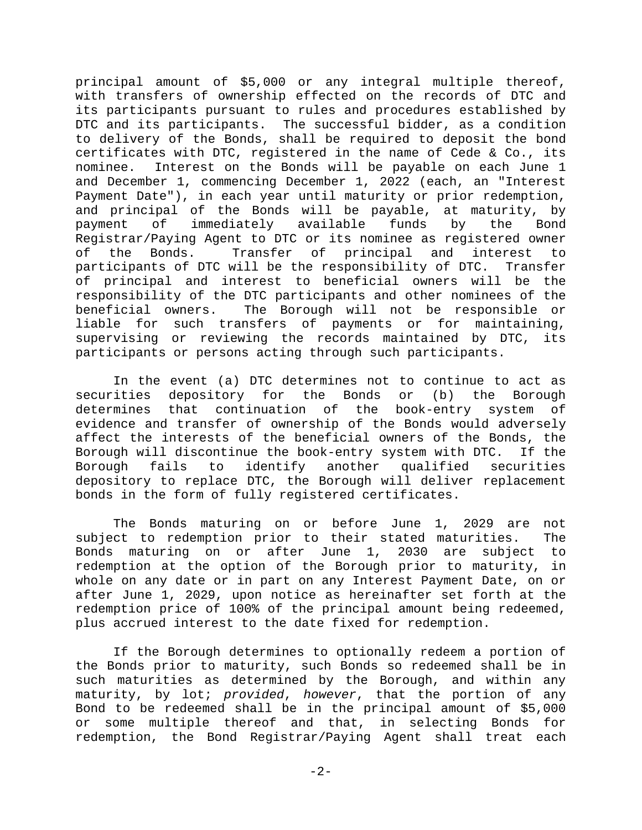principal amount of \$5,000 or any integral multiple thereof, with transfers of ownership effected on the records of DTC and its participants pursuant to rules and procedures established by DTC and its participants. The successful bidder, as a condition to delivery of the Bonds, shall be required to deposit the bond certificates with DTC, registered in the name of Cede & Co., its nominee. Interest on the Bonds will be payable on each June 1 and December 1, commencing December 1, 2022 (each, an "Interest Payment Date"), in each year until maturity or prior redemption, and principal of the Bonds will be payable, at maturity, by payment of immediately available funds by the Bond Registrar/Paying Agent to DTC or its nominee as registered owner of the Bonds. Transfer of principal and interest to participants of DTC will be the responsibility of DTC. Transfer of principal and interest to beneficial owners will be the responsibility of the DTC participants and other nominees of the beneficial owners. The Borough will not be responsible or liable for such transfers of payments or for maintaining, supervising or reviewing the records maintained by DTC, its participants or persons acting through such participants.

 In the event (a) DTC determines not to continue to act as securities depository for the Bonds or (b) the Borough determines that continuation of the book-entry system of evidence and transfer of ownership of the Bonds would adversely affect the interests of the beneficial owners of the Bonds, the Borough will discontinue the book-entry system with DTC. If the Borough fails to identify another qualified securities depository to replace DTC, the Borough will deliver replacement bonds in the form of fully registered certificates.

 The Bonds maturing on or before June 1, 2029 are not subject to redemption prior to their stated maturities. The Bonds maturing on or after June 1, 2030 are subject to redemption at the option of the Borough prior to maturity, in whole on any date or in part on any Interest Payment Date, on or after June 1, 2029, upon notice as hereinafter set forth at the redemption price of 100% of the principal amount being redeemed, plus accrued interest to the date fixed for redemption.

 If the Borough determines to optionally redeem a portion of the Bonds prior to maturity, such Bonds so redeemed shall be in such maturities as determined by the Borough, and within any maturity, by lot; *provided*, *however*, that the portion of any Bond to be redeemed shall be in the principal amount of \$5,000 or some multiple thereof and that, in selecting Bonds for redemption, the Bond Registrar/Paying Agent shall treat each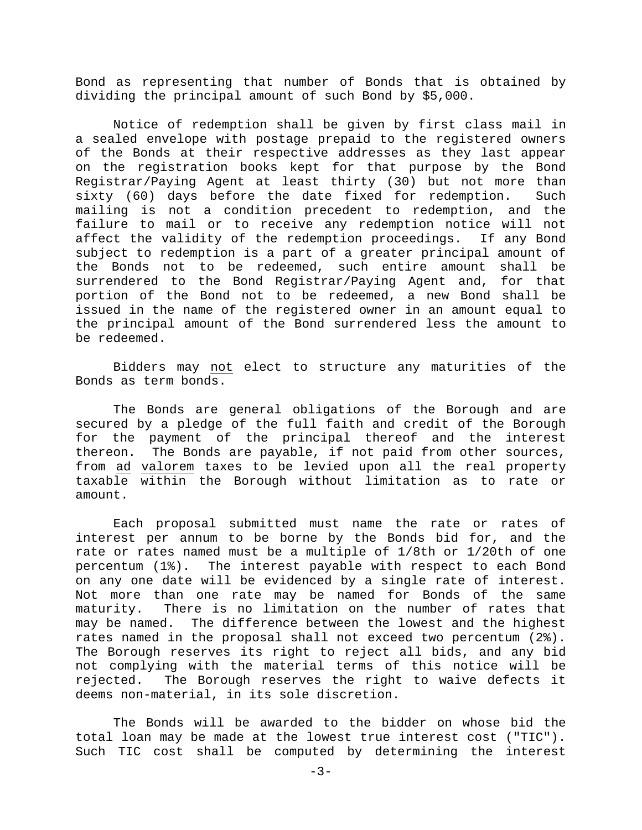Bond as representing that number of Bonds that is obtained by dividing the principal amount of such Bond by \$5,000.

 Notice of redemption shall be given by first class mail in a sealed envelope with postage prepaid to the registered owners of the Bonds at their respective addresses as they last appear on the registration books kept for that purpose by the Bond Registrar/Paying Agent at least thirty (30) but not more than sixty (60) days before the date fixed for redemption. Such mailing is not a condition precedent to redemption, and the failure to mail or to receive any redemption notice will not affect the validity of the redemption proceedings. If any Bond subject to redemption is a part of a greater principal amount of the Bonds not to be redeemed, such entire amount shall be surrendered to the Bond Registrar/Paying Agent and, for that portion of the Bond not to be redeemed, a new Bond shall be issued in the name of the registered owner in an amount equal to the principal amount of the Bond surrendered less the amount to be redeemed.

 Bidders may not elect to structure any maturities of the Bonds as term bonds.

 The Bonds are general obligations of the Borough and are secured by a pledge of the full faith and credit of the Borough for the payment of the principal thereof and the interest thereon. The Bonds are payable, if not paid from other sources, from ad valorem taxes to be levied upon all the real property taxable within the Borough without limitation as to rate or amount.

 Each proposal submitted must name the rate or rates of interest per annum to be borne by the Bonds bid for, and the rate or rates named must be a multiple of 1/8th or 1/20th of one percentum (1%). The interest payable with respect to each Bond on any one date will be evidenced by a single rate of interest. Not more than one rate may be named for Bonds of the same maturity. There is no limitation on the number of rates that may be named. The difference between the lowest and the highest rates named in the proposal shall not exceed two percentum (2%). The Borough reserves its right to reject all bids, and any bid not complying with the material terms of this notice will be rejected. The Borough reserves the right to waive defects it deems non-material, in its sole discretion.

The Bonds will be awarded to the bidder on whose bid the total loan may be made at the lowest true interest cost ("TIC"). Such TIC cost shall be computed by determining the interest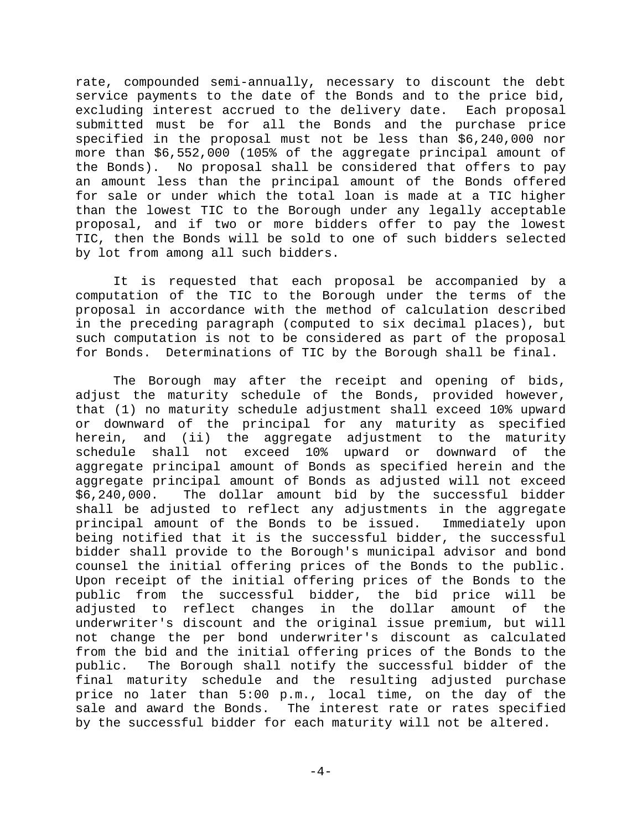rate, compounded semi-annually, necessary to discount the debt service payments to the date of the Bonds and to the price bid, excluding interest accrued to the delivery date. Each proposal submitted must be for all the Bonds and the purchase price specified in the proposal must not be less than \$6,240,000 nor more than \$6,552,000 (105% of the aggregate principal amount of the Bonds). No proposal shall be considered that offers to pay an amount less than the principal amount of the Bonds offered for sale or under which the total loan is made at a TIC higher than the lowest TIC to the Borough under any legally acceptable proposal, and if two or more bidders offer to pay the lowest TIC, then the Bonds will be sold to one of such bidders selected by lot from among all such bidders.

It is requested that each proposal be accompanied by a computation of the TIC to the Borough under the terms of the proposal in accordance with the method of calculation described in the preceding paragraph (computed to six decimal places), but such computation is not to be considered as part of the proposal for Bonds. Determinations of TIC by the Borough shall be final.

The Borough may after the receipt and opening of bids, adjust the maturity schedule of the Bonds, provided however, that (1) no maturity schedule adjustment shall exceed 10% upward or downward of the principal for any maturity as specified herein, and (ii) the aggregate adjustment to the maturity schedule shall not exceed 10% upward or downward of the aggregate principal amount of Bonds as specified herein and the aggregate principal amount of Bonds as adjusted will not exceed \$6,240,000. The dollar amount bid by the successful bidder shall be adjusted to reflect any adjustments in the aggregate principal amount of the Bonds to be issued. Immediately upon being notified that it is the successful bidder, the successful bidder shall provide to the Borough's municipal advisor and bond counsel the initial offering prices of the Bonds to the public. Upon receipt of the initial offering prices of the Bonds to the public from the successful bidder, the bid price will be adjusted to reflect changes in the dollar amount of the underwriter's discount and the original issue premium, but will not change the per bond underwriter's discount as calculated from the bid and the initial offering prices of the Bonds to the public. The Borough shall notify the successful bidder of the final maturity schedule and the resulting adjusted purchase price no later than 5:00 p.m., local time, on the day of the sale and award the Bonds. The interest rate or rates specified by the successful bidder for each maturity will not be altered.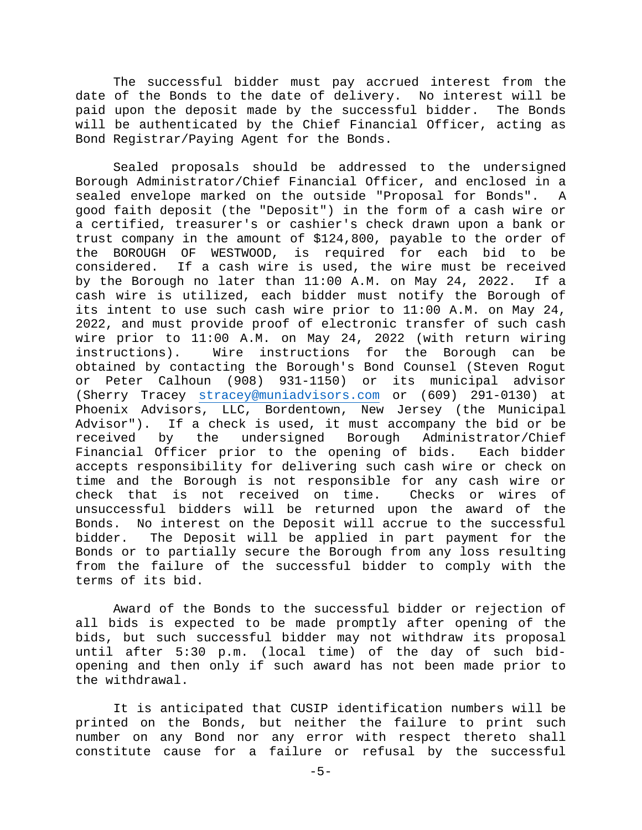The successful bidder must pay accrued interest from the date of the Bonds to the date of delivery. No interest will be paid upon the deposit made by the successful bidder. The Bonds will be authenticated by the Chief Financial Officer, acting as Bond Registrar/Paying Agent for the Bonds.

 Sealed proposals should be addressed to the undersigned Borough Administrator/Chief Financial Officer, and enclosed in a sealed envelope marked on the outside "Proposal for Bonds". A good faith deposit (the "Deposit") in the form of a cash wire or a certified, treasurer's or cashier's check drawn upon a bank or trust company in the amount of \$124,800, payable to the order of the BOROUGH OF WESTWOOD, is required for each bid to be considered. If a cash wire is used, the wire must be received by the Borough no later than 11:00 A.M. on May 24, 2022. If a cash wire is utilized, each bidder must notify the Borough of its intent to use such cash wire prior to 11:00 A.M. on May 24, 2022, and must provide proof of electronic transfer of such cash wire prior to 11:00 A.M. on May 24, 2022 (with return wiring instructions). Wire instructions for the Borough can be obtained by contacting the Borough's Bond Counsel (Steven Rogut or Peter Calhoun (908) 931-1150) or its municipal advisor (Sherry Tracey stracey@muniadvisors.com or (609) 291-0130) at Phoenix Advisors, LLC, Bordentown, New Jersey (the Municipal Advisor"). If a check is used, it must accompany the bid or be received by the undersigned Borough Administrator/Chief Financial Officer prior to the opening of bids. Each bidder accepts responsibility for delivering such cash wire or check on time and the Borough is not responsible for any cash wire or check that is not received on time. Checks or wires of unsuccessful bidders will be returned upon the award of the Bonds. No interest on the Deposit will accrue to the successful bidder. The Deposit will be applied in part payment for the Bonds or to partially secure the Borough from any loss resulting from the failure of the successful bidder to comply with the terms of its bid.

 Award of the Bonds to the successful bidder or rejection of all bids is expected to be made promptly after opening of the bids, but such successful bidder may not withdraw its proposal until after 5:30 p.m. (local time) of the day of such bidopening and then only if such award has not been made prior to the withdrawal.

 It is anticipated that CUSIP identification numbers will be printed on the Bonds, but neither the failure to print such number on any Bond nor any error with respect thereto shall constitute cause for a failure or refusal by the successful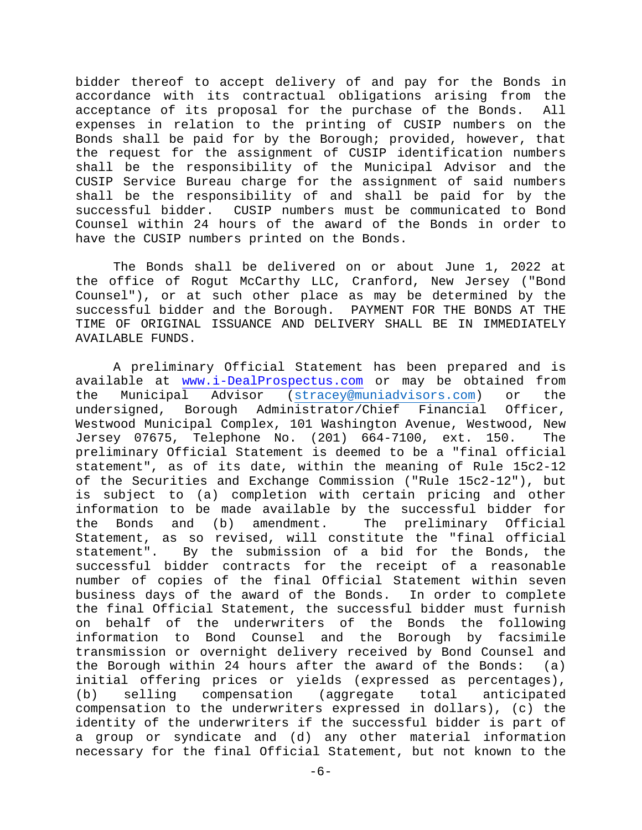bidder thereof to accept delivery of and pay for the Bonds in accordance with its contractual obligations arising from the acceptance of its proposal for the purchase of the Bonds. All expenses in relation to the printing of CUSIP numbers on the Bonds shall be paid for by the Borough; provided, however, that the request for the assignment of CUSIP identification numbers shall be the responsibility of the Municipal Advisor and the CUSIP Service Bureau charge for the assignment of said numbers shall be the responsibility of and shall be paid for by the successful bidder. CUSIP numbers must be communicated to Bond Counsel within 24 hours of the award of the Bonds in order to have the CUSIP numbers printed on the Bonds.

 The Bonds shall be delivered on or about June 1, 2022 at the office of Rogut McCarthy LLC, Cranford, New Jersey ("Bond Counsel"), or at such other place as may be determined by the successful bidder and the Borough. PAYMENT FOR THE BONDS AT THE TIME OF ORIGINAL ISSUANCE AND DELIVERY SHALL BE IN IMMEDIATELY AVAILABLE FUNDS.

 A preliminary Official Statement has been prepared and is available at www.i-DealProspectus.com or may be obtained from the Municipal Advisor (stracey@muniadvisors.com) or the undersigned, Borough Administrator/Chief Financial Officer, Westwood Municipal Complex, 101 Washington Avenue, Westwood, New Jersey 07675, Telephone No. (201) 664-7100, ext. 150. The preliminary Official Statement is deemed to be a "final official statement", as of its date, within the meaning of Rule 15c2-12 of the Securities and Exchange Commission ("Rule 15c2-12"), but is subject to (a) completion with certain pricing and other information to be made available by the successful bidder for the Bonds and (b) amendment. The preliminary Official Statement, as so revised, will constitute the "final official statement". By the submission of a bid for the Bonds, the successful bidder contracts for the receipt of a reasonable number of copies of the final Official Statement within seven business days of the award of the Bonds. In order to complete the final Official Statement, the successful bidder must furnish on behalf of the underwriters of the Bonds the following information to Bond Counsel and the Borough by facsimile transmission or overnight delivery received by Bond Counsel and the Borough within 24 hours after the award of the Bonds: (a) initial offering prices or yields (expressed as percentages), (b) selling compensation (aggregate total anticipated compensation to the underwriters expressed in dollars), (c) the identity of the underwriters if the successful bidder is part of a group or syndicate and (d) any other material information necessary for the final Official Statement, but not known to the

-6-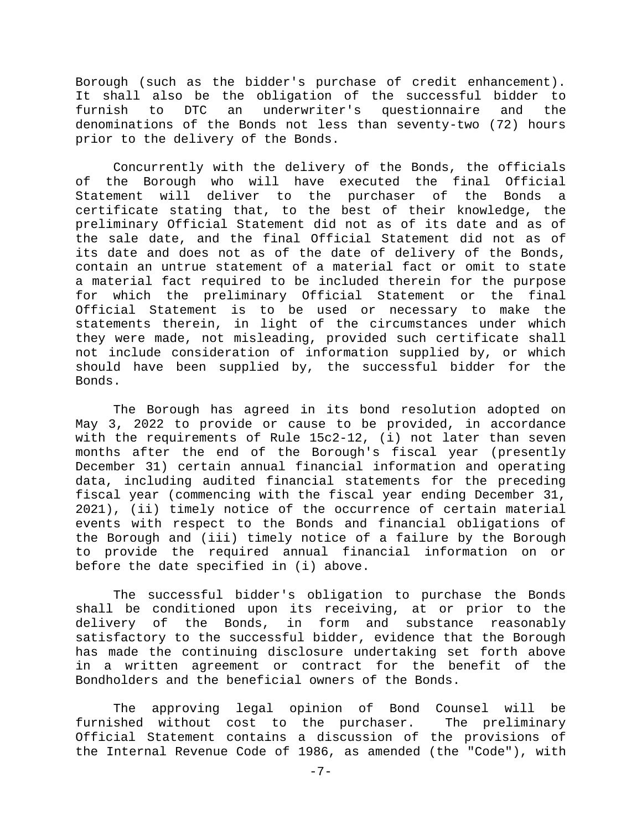Borough (such as the bidder's purchase of credit enhancement). It shall also be the obligation of the successful bidder to furnish to DTC an underwriter's questionnaire and the denominations of the Bonds not less than seventy-two (72) hours prior to the delivery of the Bonds.

 Concurrently with the delivery of the Bonds, the officials of the Borough who will have executed the final Official Statement will deliver to the purchaser of the Bonds certificate stating that, to the best of their knowledge, the preliminary Official Statement did not as of its date and as of the sale date, and the final Official Statement did not as of its date and does not as of the date of delivery of the Bonds, contain an untrue statement of a material fact or omit to state a material fact required to be included therein for the purpose for which the preliminary Official Statement or the final Official Statement is to be used or necessary to make the statements therein, in light of the circumstances under which they were made, not misleading, provided such certificate shall not include consideration of information supplied by, or which should have been supplied by, the successful bidder for the Bonds.

 The Borough has agreed in its bond resolution adopted on May 3, 2022 to provide or cause to be provided, in accordance with the requirements of Rule 15c2-12, (i) not later than seven months after the end of the Borough's fiscal year (presently December 31) certain annual financial information and operating data, including audited financial statements for the preceding fiscal year (commencing with the fiscal year ending December 31, 2021), (ii) timely notice of the occurrence of certain material events with respect to the Bonds and financial obligations of the Borough and (iii) timely notice of a failure by the Borough to provide the required annual financial information on or before the date specified in (i) above.

 The successful bidder's obligation to purchase the Bonds shall be conditioned upon its receiving, at or prior to the delivery of the Bonds, in form and substance reasonably satisfactory to the successful bidder, evidence that the Borough has made the continuing disclosure undertaking set forth above in a written agreement or contract for the benefit of the Bondholders and the beneficial owners of the Bonds.

 The approving legal opinion of Bond Counsel will be furnished without cost to the purchaser. The preliminary Official Statement contains a discussion of the provisions of the Internal Revenue Code of 1986, as amended (the "Code"), with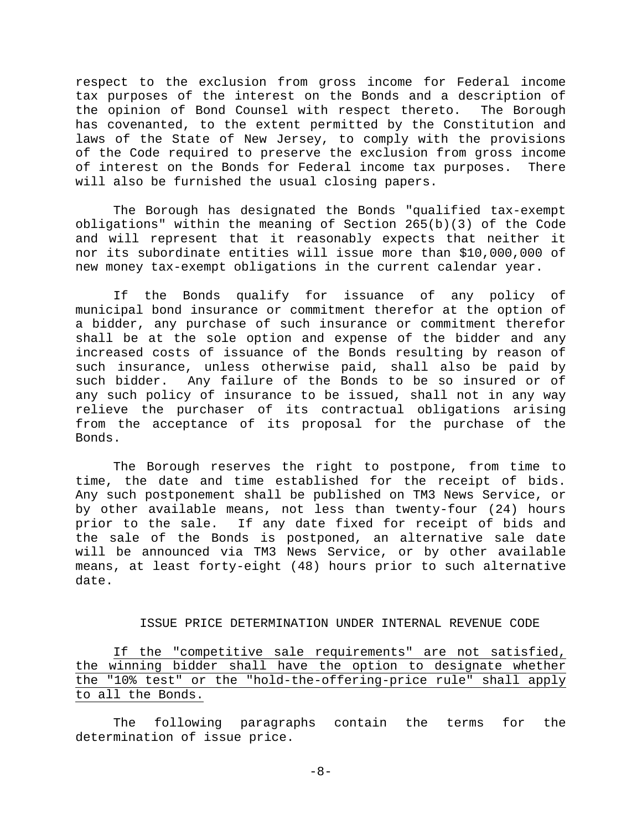respect to the exclusion from gross income for Federal income tax purposes of the interest on the Bonds and a description of the opinion of Bond Counsel with respect thereto. The Borough has covenanted, to the extent permitted by the Constitution and laws of the State of New Jersey, to comply with the provisions of the Code required to preserve the exclusion from gross income of interest on the Bonds for Federal income tax purposes. There will also be furnished the usual closing papers.

 The Borough has designated the Bonds "qualified tax-exempt obligations" within the meaning of Section 265(b)(3) of the Code and will represent that it reasonably expects that neither it nor its subordinate entities will issue more than \$10,000,000 of new money tax-exempt obligations in the current calendar year.

 If the Bonds qualify for issuance of any policy of municipal bond insurance or commitment therefor at the option of a bidder, any purchase of such insurance or commitment therefor shall be at the sole option and expense of the bidder and any increased costs of issuance of the Bonds resulting by reason of such insurance, unless otherwise paid, shall also be paid by such bidder. Any failure of the Bonds to be so insured or of any such policy of insurance to be issued, shall not in any way relieve the purchaser of its contractual obligations arising from the acceptance of its proposal for the purchase of the Bonds.

The Borough reserves the right to postpone, from time to time, the date and time established for the receipt of bids. Any such postponement shall be published on TM3 News Service, or by other available means, not less than twenty-four (24) hours prior to the sale. If any date fixed for receipt of bids and the sale of the Bonds is postponed, an alternative sale date will be announced via TM3 News Service, or by other available means, at least forty-eight (48) hours prior to such alternative date.

## ISSUE PRICE DETERMINATION UNDER INTERNAL REVENUE CODE

If the "competitive sale requirements" are not satisfied, the winning bidder shall have the option to designate whether the "10% test" or the "hold-the-offering-price rule" shall apply to all the Bonds.

 The following paragraphs contain the terms for the determination of issue price.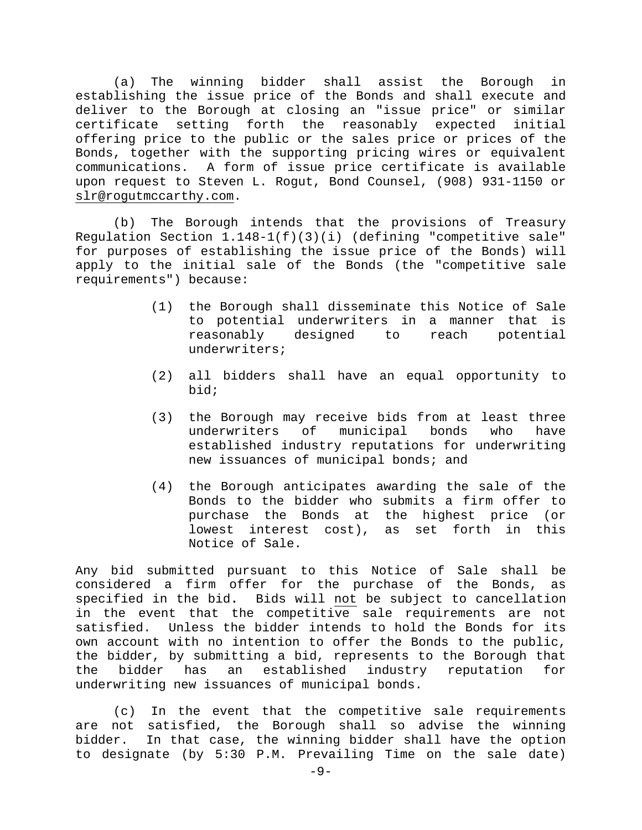(a) The winning bidder shall assist the Borough in establishing the issue price of the Bonds and shall execute and deliver to the Borough at closing an "issue price" or similar certificate setting forth the reasonably expected initial offering price to the public or the sales price or prices of the Bonds, together with the supporting pricing wires or equivalent communications. A form of issue price certificate is available upon request to Steven L. Rogut, Bond Counsel, (908) 931-1150 or slr@rogutmccarthy.com.

(b) The Borough intends that the provisions of Treasury Regulation Section 1.148-1(f)(3)(i) (defining "competitive sale" for purposes of establishing the issue price of the Bonds) will apply to the initial sale of the Bonds (the "competitive sale requirements") because:

- (1) the Borough shall disseminate this Notice of Sale to potential underwriters in a manner that is reasonably designed to reach potential underwriters;
- (2) all bidders shall have an equal opportunity to bid;
- (3) the Borough may receive bids from at least three underwriters of municipal bonds who have established industry reputations for underwriting new issuances of municipal bonds; and
- (4) the Borough anticipates awarding the sale of the Bonds to the bidder who submits a firm offer to purchase the Bonds at the highest price (or lowest interest cost), as set forth in this Notice of Sale.

Any bid submitted pursuant to this Notice of Sale shall be considered a firm offer for the purchase of the Bonds, as specified in the bid**.** Bids will not be subject to cancellation in the event that the competitive sale requirements are not satisfied. Unless the bidder intends to hold the Bonds for its own account with no intention to offer the Bonds to the public, the bidder, by submitting a bid, represents to the Borough that the bidder has an established industry reputation for underwriting new issuances of municipal bonds.

(c) In the event that the competitive sale requirements are not satisfied, the Borough shall so advise the winning bidder. In that case, the winning bidder shall have the option to designate (by 5:30 P.M. Prevailing Time on the sale date)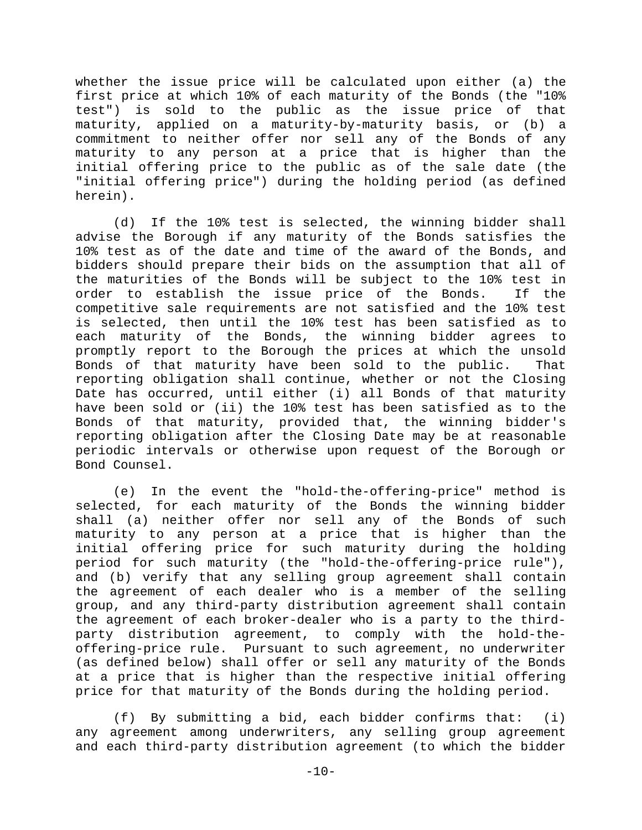whether the issue price will be calculated upon either (a) the first price at which 10% of each maturity of the Bonds (the "10% test") is sold to the public as the issue price of that maturity, applied on a maturity-by-maturity basis, or (b) a commitment to neither offer nor sell any of the Bonds of any maturity to any person at a price that is higher than the initial offering price to the public as of the sale date (the "initial offering price") during the holding period (as defined herein).

(d) If the 10% test is selected, the winning bidder shall advise the Borough if any maturity of the Bonds satisfies the 10% test as of the date and time of the award of the Bonds, and bidders should prepare their bids on the assumption that all of the maturities of the Bonds will be subject to the 10% test in order to establish the issue price of the Bonds. If the competitive sale requirements are not satisfied and the 10% test is selected, then until the 10% test has been satisfied as to each maturity of the Bonds, the winning bidder agrees to promptly report to the Borough the prices at which the unsold Bonds of that maturity have been sold to the public. That reporting obligation shall continue, whether or not the Closing Date has occurred, until either (i) all Bonds of that maturity have been sold or (ii) the 10% test has been satisfied as to the Bonds of that maturity, provided that, the winning bidder's reporting obligation after the Closing Date may be at reasonable periodic intervals or otherwise upon request of the Borough or Bond Counsel.

(e) In the event the "hold-the-offering-price" method is selected, for each maturity of the Bonds the winning bidder shall (a) neither offer nor sell any of the Bonds of such maturity to any person at a price that is higher than the initial offering price for such maturity during the holding period for such maturity (the "hold-the-offering-price rule"), and (b) verify that any selling group agreement shall contain the agreement of each dealer who is a member of the selling group, and any third-party distribution agreement shall contain the agreement of each broker-dealer who is a party to the thirdparty distribution agreement, to comply with the hold-theoffering-price rule. Pursuant to such agreement, no underwriter (as defined below) shall offer or sell any maturity of the Bonds at a price that is higher than the respective initial offering price for that maturity of the Bonds during the holding period.

(f) By submitting a bid, each bidder confirms that: (i) any agreement among underwriters, any selling group agreement and each third-party distribution agreement (to which the bidder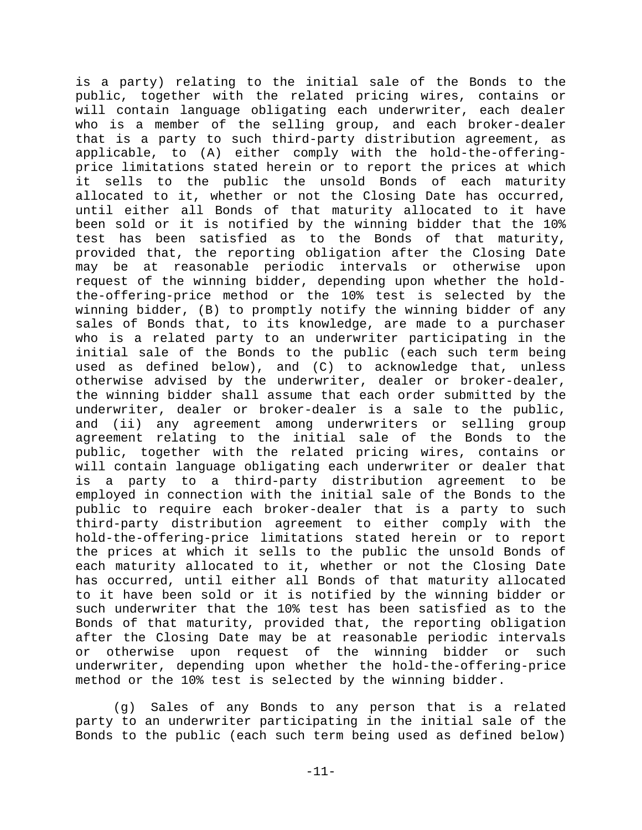is a party) relating to the initial sale of the Bonds to the public, together with the related pricing wires, contains or will contain language obligating each underwriter, each dealer who is a member of the selling group, and each broker-dealer that is a party to such third-party distribution agreement, as applicable, to (A) either comply with the hold-the-offeringprice limitations stated herein or to report the prices at which it sells to the public the unsold Bonds of each maturity allocated to it, whether or not the Closing Date has occurred, until either all Bonds of that maturity allocated to it have been sold or it is notified by the winning bidder that the 10% test has been satisfied as to the Bonds of that maturity, provided that, the reporting obligation after the Closing Date may be at reasonable periodic intervals or otherwise upon request of the winning bidder, depending upon whether the holdthe-offering-price method or the 10% test is selected by the winning bidder, (B) to promptly notify the winning bidder of any sales of Bonds that, to its knowledge, are made to a purchaser who is a related party to an underwriter participating in the initial sale of the Bonds to the public (each such term being used as defined below), and (C) to acknowledge that, unless otherwise advised by the underwriter, dealer or broker-dealer, the winning bidder shall assume that each order submitted by the underwriter, dealer or broker-dealer is a sale to the public, and (ii) any agreement among underwriters or selling group agreement relating to the initial sale of the Bonds to the public, together with the related pricing wires, contains or will contain language obligating each underwriter or dealer that is a party to a third-party distribution agreement to be employed in connection with the initial sale of the Bonds to the public to require each broker-dealer that is a party to such third-party distribution agreement to either comply with the hold-the-offering-price limitations stated herein or to report the prices at which it sells to the public the unsold Bonds of each maturity allocated to it, whether or not the Closing Date has occurred, until either all Bonds of that maturity allocated to it have been sold or it is notified by the winning bidder or such underwriter that the 10% test has been satisfied as to the Bonds of that maturity, provided that, the reporting obligation after the Closing Date may be at reasonable periodic intervals or otherwise upon request of the winning bidder or such underwriter, depending upon whether the hold-the-offering-price method or the 10% test is selected by the winning bidder.

(g) Sales of any Bonds to any person that is a related party to an underwriter participating in the initial sale of the Bonds to the public (each such term being used as defined below)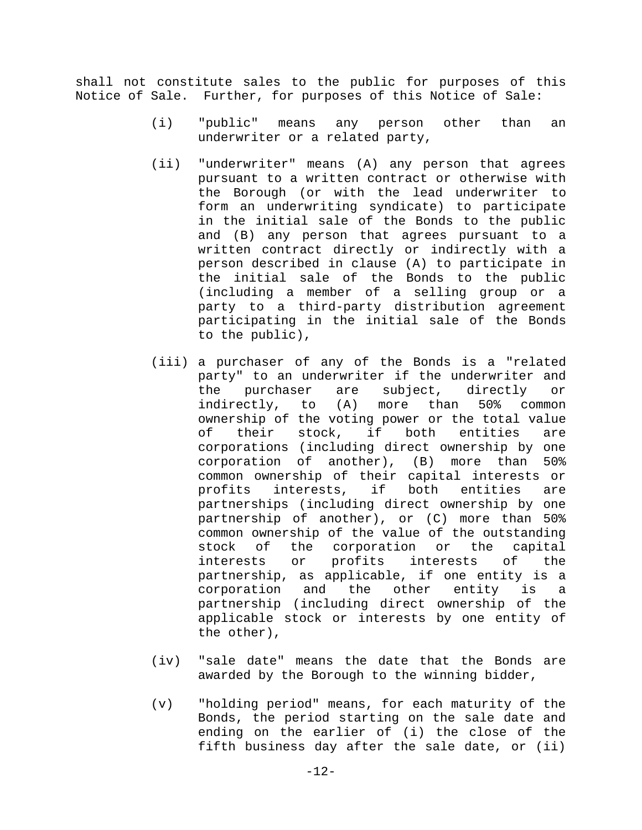shall not constitute sales to the public for purposes of this Notice of Sale. Further, for purposes of this Notice of Sale:

- (i) "public" means any person other than an underwriter or a related party,
- (ii) "underwriter" means (A) any person that agrees pursuant to a written contract or otherwise with the Borough (or with the lead underwriter to form an underwriting syndicate) to participate in the initial sale of the Bonds to the public and (B) any person that agrees pursuant to a written contract directly or indirectly with a person described in clause (A) to participate in the initial sale of the Bonds to the public (including a member of a selling group or a party to a third-party distribution agreement participating in the initial sale of the Bonds to the public),
- (iii) a purchaser of any of the Bonds is a "related party" to an underwriter if the underwriter and the purchaser are subject, directly or indirectly, to (A) more than 50% common ownership of the voting power or the total value of their stock, if both entities are corporations (including direct ownership by one corporation of another), (B) more than 50% common ownership of their capital interests or profits interests, if both entities are partnerships (including direct ownership by one partnership of another), or (C) more than 50% common ownership of the value of the outstanding stock of the corporation or the capital interests or profits interests of the partnership, as applicable, if one entity is a corporation and the other entity is a partnership (including direct ownership of the applicable stock or interests by one entity of the other),
- (iv) "sale date" means the date that the Bonds are awarded by the Borough to the winning bidder,
- (v) "holding period" means, for each maturity of the Bonds, the period starting on the sale date and ending on the earlier of (i) the close of the fifth business day after the sale date, or (ii)